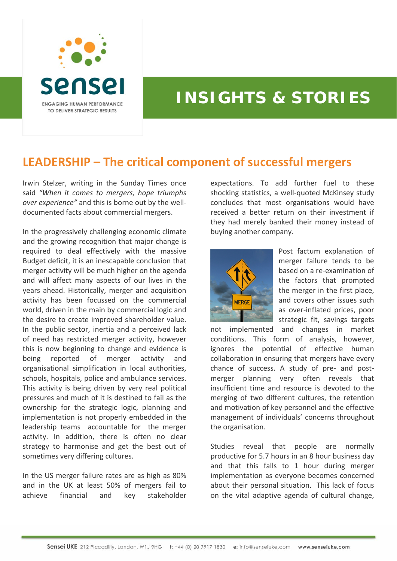

## **INSIGHTS & STORIES**

## **LEADERSHIP – The critical component of successful mergers**

Irwin Stelzer, writing in the Sunday Times once said *"When it comes to mergers, hope triumphs over experience"* and this is borne out by the well‐ documented facts about commercial mergers.

In the progressively challenging economic climate and the growing recognition that major change is required to deal effectively with the massive Budget deficit, it is an inescapable conclusion that merger activity will be much higher on the agenda and will affect many aspects of our lives in the years ahead. Historically, merger and acquisition activity has been focussed on the commercial world, driven in the main by commercial logic and the desire to create improved shareholder value. In the public sector, inertia and a perceived lack of need has restricted merger activity, however this is now beginning to change and evidence is being reported of merger activity and organisational simplification in local authorities, schools, hospitals, police and ambulance services. This activity is being driven by very real political pressures and much of it is destined to fail as the ownership for the strategic logic, planning and implementation is not properly embedded in the leadership teams accountable for the merger activity. In addition, there is often no clear strategy to harmonise and get the best out of sometimes very differing cultures.

In the US merger failure rates are as high as 80% and in the UK at least 50% of mergers fail to achieve financial and key stakeholder expectations. To add further fuel to these shocking statistics, a well‐quoted McKinsey study concludes that most organisations would have received a better return on their investment if they had merely banked their money instead of buying another company.



Post factum explanation of merger failure tends to be based on a re‐examination of the factors that prompted the merger in the first place, and covers other issues such as over‐inflated prices, poor strategic fit, savings targets

not implemented and changes in market conditions. This form of analysis, however, ignores the potential of effective human collaboration in ensuring that mergers have every chance of success. A study of pre‐ and post‐ merger planning very often reveals that insufficient time and resource is devoted to the merging of two different cultures, the retention and motivation of key personnel and the effective management of individuals' concerns throughout the organisation.

Studies reveal that people are normally productive for 5.7 hours in an 8 hour business day and that this falls to 1 hour during merger implementation as everyone becomes concerned about their personal situation. This lack of focus on the vital adaptive agenda of cultural change,